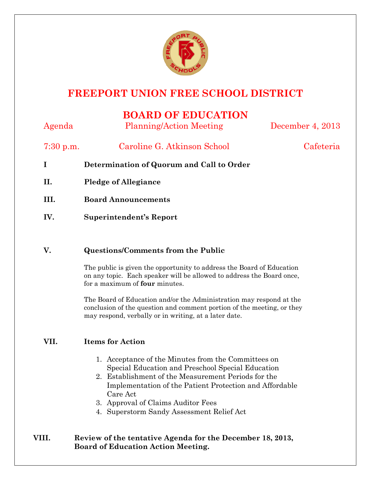

# **FREEPORT UNION FREE SCHOOL DISTRICT**

## **BOARD OF EDUCATION**

Agenda Planning/Action Meeting December 4, 2013 7:30 p.m. Caroline G. Atkinson School Cafeteria **I Determination of Quorum and Call to Order II. Pledge of Allegiance III. Board Announcements IV. Superintendent's Report** 

#### **V. Questions/Comments from the Public**

The public is given the opportunity to address the Board of Education on any topic. Each speaker will be allowed to address the Board once, for a maximum of **four** minutes.

The Board of Education and/or the Administration may respond at the conclusion of the question and comment portion of the meeting, or they may respond, verbally or in writing, at a later date.

## **VII. Items for Action**

- 1. Acceptance of the Minutes from the Committees on Special Education and Preschool Special Education
- 2. Establishment of the Measurement Periods for the Implementation of the Patient Protection and Affordable Care Act
- 3. Approval of Claims Auditor Fees
- 4. Superstorm Sandy Assessment Relief Act

## **VIII. Review of the tentative Agenda for the December 18, 2013, Board of Education Action Meeting.**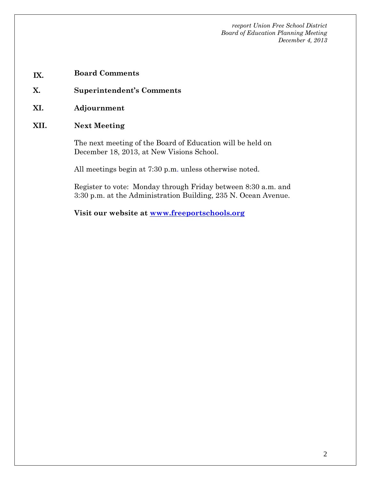- **IX. Board Comments**
- **X. Superintendent's Comments**
- **XI. Adjournment**
- **XII. Next Meeting**

The next meeting of the Board of Education will be held on December 18, 2013, at New Visions School.

All meetings begin at 7:30 p.m. unless otherwise noted.

Register to vote: Monday through Friday between 8:30 a.m. and 3:30 p.m. at the Administration Building, 235 N. Ocean Avenue.

**Visit our website at www.freeportschools.org**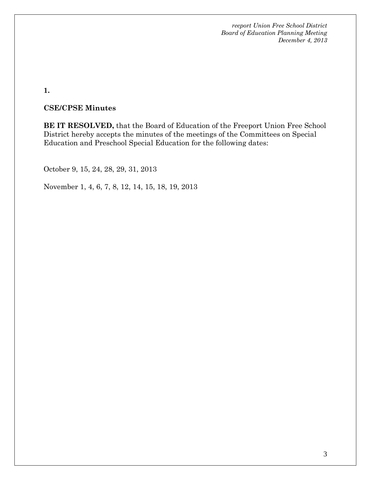**1.** 

#### **CSE/CPSE Minutes**

**BE IT RESOLVED,** that the Board of Education of the Freeport Union Free School District hereby accepts the minutes of the meetings of the Committees on Special Education and Preschool Special Education for the following dates:

October 9, 15, 24, 28, 29, 31, 2013

November 1, 4, 6, 7, 8, 12, 14, 15, 18, 19, 2013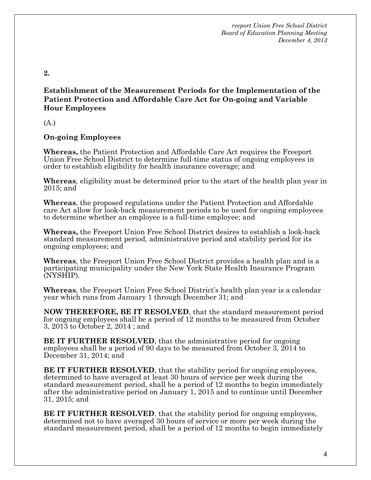**2.** 

#### **Establishment of the Measurement Periods for the Implementation of the Patient Protection and Affordable Care Act for On-going and Variable Hour Employees**

(A.)

#### **On-going Employees**

**Whereas,** the Patient Protection and Affordable Care Act requires the Freeport Union Free School District to determine full-time status of ongoing employees in order to establish eligibility for health insurance coverage; and

**Whereas**, eligibility must be determined prior to the start of the health plan year in 2015; and

**Whereas**, the proposed regulations under the Patient Protection and Affordable care Act allow for look-back measurement periods to be used for ongoing employees to determine whether an employee is a full-time employee; and

**Whereas,** the Freeport Union Free School District desires to establish a look-back standard measurement period, administrative period and stability period for its ongoing employees; and

**Whereas**, the Freeport Union Free School District provides a health plan and is a participating municipality under the New York State Health Insurance Program (NYSHIP).

**Whereas**, the Freeport Union Free School District's health plan year is a calendar year which runs from January 1 through December 31; and

**NOW THEREFORE, BE IT RESOLVED**, that the standard measurement period for ongoing employees shall be a period of 12 months to be measured from October 3, 2013 to October 2, 2014 ; and

**BE IT FURTHER RESOLVED**, that the administrative period for ongoing employees shall be a period of 90 days to be measured from October 3, 2014 to December 31, 2014; and

**BE IT FURTHER RESOLVED**, that the stability period for ongoing employees, determined to have averaged at least 30 hours of service per week during the standard measurement period, shall be a period of 12 months to begin immediately after the administrative period on January 1, 2015 and to continue until December 31, 2015; and

**BE IT FURTHER RESOLVED**, that the stability period for ongoing employees, determined not to have averaged 30 hours of service or more per week during the standard measurement period, shall be a period of 12 months to begin immediately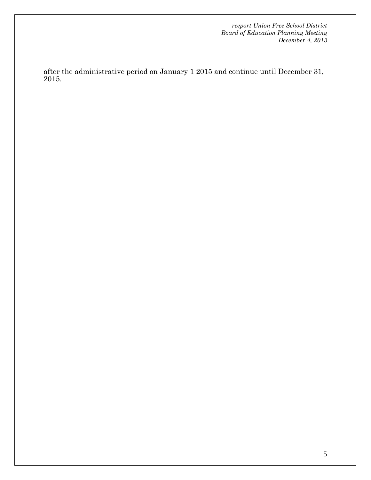after the administrative period on January 1 2015 and continue until December 31, 2015.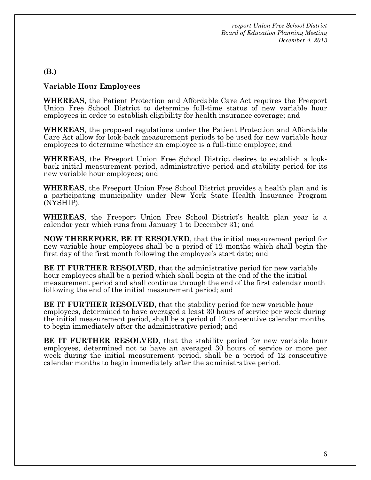#### (**B.)**

#### **Variable Hour Employees**

**WHEREAS**, the Patient Protection and Affordable Care Act requires the Freeport Union Free School District to determine full-time status of new variable hour employees in order to establish eligibility for health insurance coverage; and

**WHEREAS**, the proposed regulations under the Patient Protection and Affordable Care Act allow for look-back measurement periods to be used for new variable hour employees to determine whether an employee is a full-time employee; and

**WHEREAS**, the Freeport Union Free School District desires to establish a lookback initial measurement period, administrative period and stability period for its new variable hour employees; and

**WHEREAS**, the Freeport Union Free School District provides a health plan and is a participating municipality under New York State Health Insurance Program (NYSHIP).

**WHEREAS**, the Freeport Union Free School District's health plan year is a calendar year which runs from January 1 to December 31; and

**NOW THEREFORE, BE IT RESOLVED**, that the initial measurement period for new variable hour employees shall be a period of 12 months which shall begin the first day of the first month following the employee's start date; and

**BE IT FURTHER RESOLVED**, that the administrative period for new variable hour employees shall be a period which shall begin at the end of the the initial measurement period and shall continue through the end of the first calendar month following the end of the initial measurement period; and

**BE IT FURTHER RESOLVED, that the stability period for new variable hour** employees, determined to have averaged a least 30 hours of service per week during the initial measurement period, shall be a period of 12 consecutive calendar months to begin immediately after the administrative period; and

**BE IT FURTHER RESOLVED**, that the stability period for new variable hour employees, determined not to have an averaged 30 hours of service or more per week during the initial measurement period, shall be a period of 12 consecutive calendar months to begin immediately after the administrative period.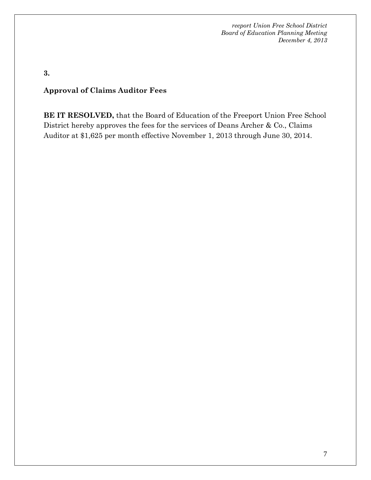**3.** 

### **Approval of Claims Auditor Fees**

**BE IT RESOLVED,** that the Board of Education of the Freeport Union Free School District hereby approves the fees for the services of Deans Archer & Co., Claims Auditor at \$1,625 per month effective November 1, 2013 through June 30, 2014.